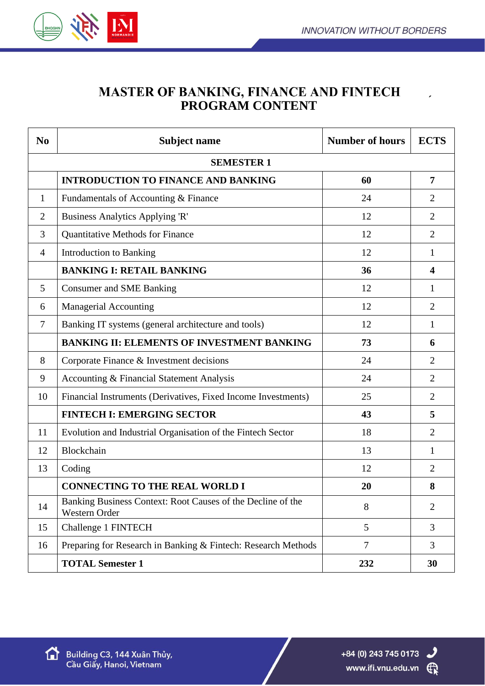

## **MASTER OF BANKING, FINANCE AND FINTECH PROGRAM CONTENT**

| N <sub>0</sub>    | <b>Subject name</b>                                                          | <b>Number of hours</b> | <b>ECTS</b>             |  |
|-------------------|------------------------------------------------------------------------------|------------------------|-------------------------|--|
| <b>SEMESTER 1</b> |                                                                              |                        |                         |  |
|                   | <b>INTRODUCTION TO FINANCE AND BANKING</b>                                   | 60                     | $\overline{7}$          |  |
| 1                 | Fundamentals of Accounting & Finance                                         | 24                     | 2                       |  |
| $\overline{2}$    | Business Analytics Applying 'R'                                              | 12                     | $\overline{2}$          |  |
| 3                 | <b>Quantitative Methods for Finance</b>                                      | 12                     | $\overline{2}$          |  |
| 4                 | <b>Introduction to Banking</b>                                               | 12                     | 1                       |  |
|                   | <b>BANKING I: RETAIL BANKING</b>                                             | 36                     | $\overline{\mathbf{4}}$ |  |
| 5                 | <b>Consumer and SME Banking</b>                                              | 12                     | 1                       |  |
| 6                 | <b>Managerial Accounting</b>                                                 | 12                     | 2                       |  |
| $\overline{7}$    | Banking IT systems (general architecture and tools)                          | 12                     | $\mathbf{1}$            |  |
|                   | <b>BANKING II: ELEMENTS OF INVESTMENT BANKING</b>                            | 73                     | 6                       |  |
| 8                 | Corporate Finance & Investment decisions                                     | 24                     | 2                       |  |
| 9                 | Accounting & Financial Statement Analysis                                    | 24                     | $\overline{2}$          |  |
| 10                | Financial Instruments (Derivatives, Fixed Income Investments)                | 25                     | $\overline{2}$          |  |
|                   | <b>FINTECH I: EMERGING SECTOR</b>                                            | 43                     | 5                       |  |
| 11                | Evolution and Industrial Organisation of the Fintech Sector                  | 18                     | $\overline{2}$          |  |
| 12                | Blockchain                                                                   | 13                     | 1                       |  |
| 13                | Coding                                                                       | 12                     | $\overline{2}$          |  |
|                   | <b>CONNECTING TO THE REAL WORLD I</b>                                        | 20                     | 8                       |  |
| 14                | Banking Business Context: Root Causes of the Decline of the<br>Western Order | 8                      | $\overline{2}$          |  |
| 15                | Challenge 1 FINTECH                                                          | 5                      | 3                       |  |
| 16                | Preparing for Research in Banking & Fintech: Research Methods                | $\overline{7}$         | 3                       |  |
|                   | <b>TOTAL Semester 1</b>                                                      | 232                    | 30                      |  |